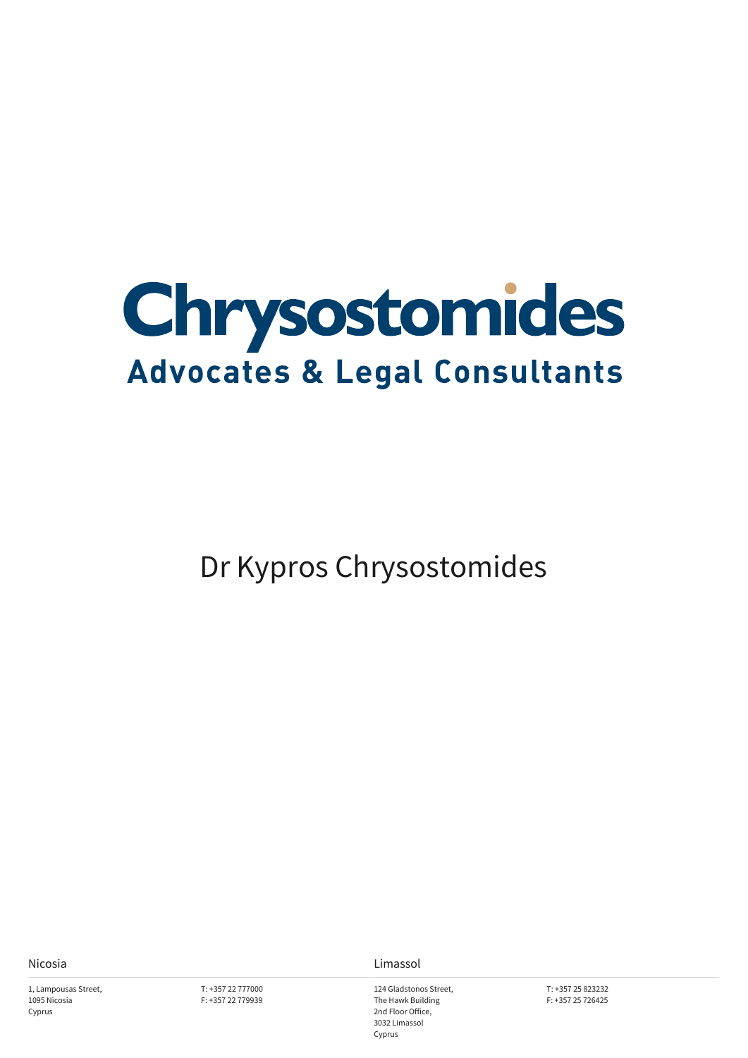

Dr Kypros Chrysostomides

1, Lampousas Street, 1095 Nicosia Cyprus

T: +357 22 777000 F: +357 22 779939

Nicosia Limassol

124 Gladstonos Street, The Hawk Building 2nd Floor Office, 3032 Limassol Cyprus

T: +357 25 823232 F: +357 25 726425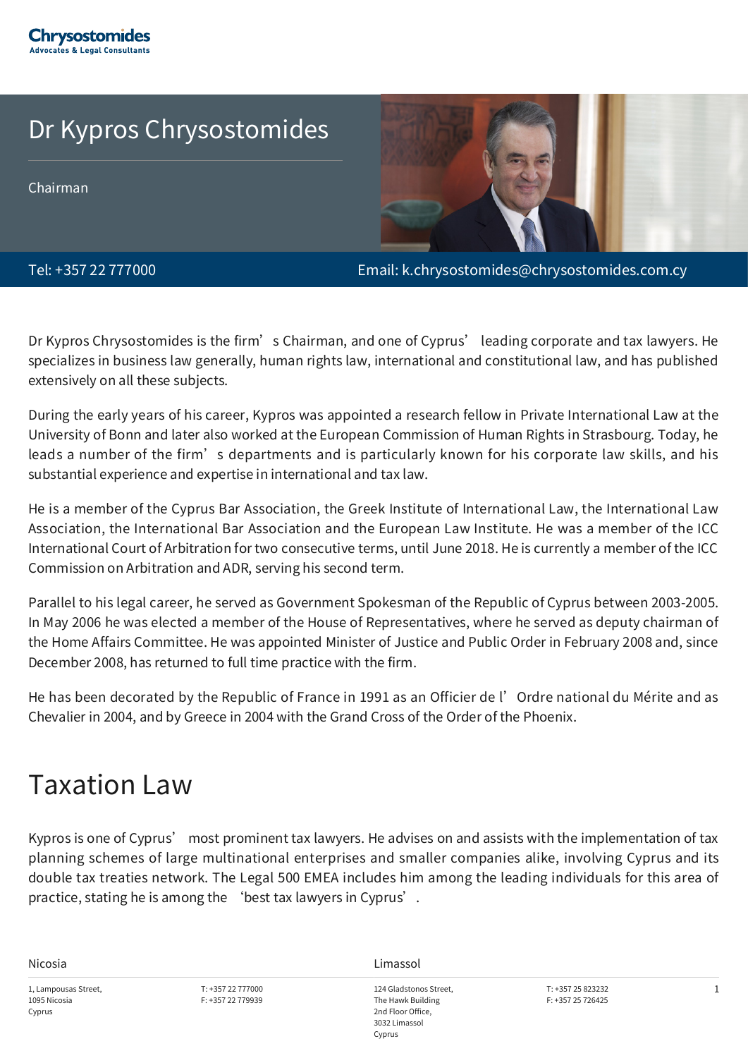#### Dr Kypros Chrysostomides

Chairman



Tel: +357 22 777000 Email: k.chrysostomides@chrysostomides.com.cy

Dr Kypros Chrysostomides is the firm's Chairman, and one of Cyprus' leading corporate and tax lawyers. He specializes in business law generally, human rights law, international and constitutional law, and has published extensively on all these subjects.

During the early years of his career, Kypros was appointed a research fellow in Private International Law at the University of Bonn and later also worked at the European Commission of Human Rights in Strasbourg. Today, he leads a number of the firm's departments and is particularly known for his corporate law skills, and his substantial experience and expertise in international and tax law.

He is a member of the Cyprus Bar Association, the Greek Institute of International Law, the International Law Association, the International Bar Association and the European Law Institute. He was a member of the ICC International Court of Arbitration for two consecutive terms, until June 2018. He is currently a member of the ICC Commission on Arbitration and ADR, serving his second term.

Parallel to his legal career, he served as Government Spokesman of the Republic of Cyprus between 2003-2005. In May 2006 he was elected a member of the House of Representatives, where he served as deputy chairman of the Home Affairs Committee. He was appointed Minister of Justice and Public Order in February 2008 and, since December 2008, has returned to full time practice with the firm.

He has been decorated by the Republic of France in 1991 as an Officier de l'Ordre national du Mérite and as Chevalier in 2004, and by Greece in 2004 with the Grand Cross of the Order of the Phoenix.

#### Taxation Law

Kypros is one of Cyprus' most prominent tax lawyers. He advises on and assists with the implementation of tax planning schemes of large multinational enterprises and smaller companies alike, involving Cyprus and its double tax treaties network. The Legal 500 EMEA includes him among the leading individuals for this area of practice, stating he is among the 'best tax lawyers in Cyprus'.

1, Lampousas Street, 1095 Nicosia Cyprus

T: +357 22 777000 F: +357 22 779939

Nicosia Limassol

124 Gladstonos Street, The Hawk Building 2nd Floor Office, 3032 Limassol Cyprus

T: +357 25 823232 F: +357 25 726425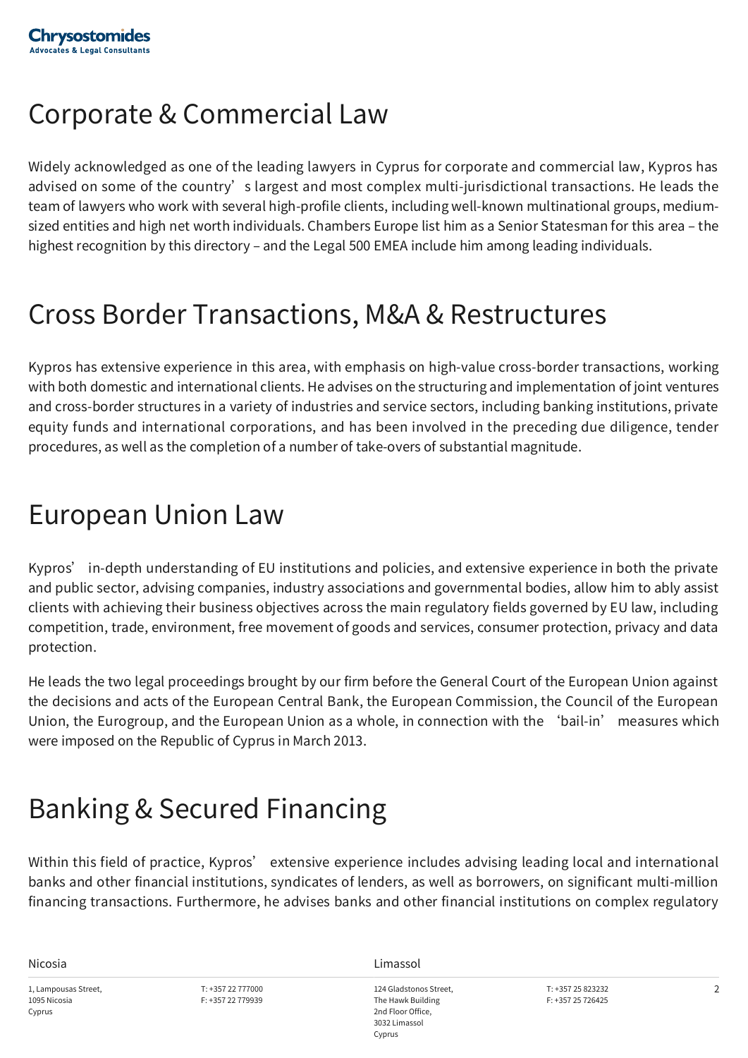## Corporate & Commercial Law

Widely acknowledged as one of the leading lawyers in Cyprus for corporate and commercial law, Kypros has advised on some of the country's largest and most complex multi-jurisdictional transactions. He leads the team of lawyers who work with several high-profile clients, including well-known multinational groups, mediumsized entities and high net worth individuals. Chambers Europe list him as a Senior Statesman for this area – the highest recognition by this directory – and the Legal 500 EMEA include him among leading individuals.

### Cross Border Transactions, M&A & Restructures

Kypros has extensive experience in this area, with emphasis on high-value cross-border transactions, working with both domestic and international clients. He advises on the structuring and implementation of joint ventures and cross-border structures in a variety of industries and service sectors, including banking institutions, private equity funds and international corporations, and has been involved in the preceding due diligence, tender procedures, as well as the completion of a number of take-overs of substantial magnitude.

#### European Union Law

Kypros' in-depth understanding of EU institutions and policies, and extensive experience in both the private and public sector, advising companies, industry associations and governmental bodies, allow him to ably assist clients with achieving their business objectives across the main regulatory fields governed by EU law, including competition, trade, environment, free movement of goods and services, consumer protection, privacy and data protection.

He leads the two legal proceedings brought by our firm before the General Court of the European Union against the decisions and acts of the European Central Bank, the European Commission, the Council of the European Union, the Eurogroup, and the European Union as a whole, in connection with the 'bail-in' measures which were imposed on the Republic of Cyprus in March 2013.

# Banking & Secured Financing

Within this field of practice, Kypros' extensive experience includes advising leading local and international banks and other financial institutions, syndicates of lenders, as well as borrowers, on significant multi-million financing transactions. Furthermore, he advises banks and other financial institutions on complex regulatory

1, Lampousas Street, 1095 Nicosia Cyprus

T: +357 22 777000 F: +357 22 779939

Nicosia Limassol

124 Gladstonos Street, The Hawk Building 2nd Floor Office, 3032 Limassol Cyprus

T: +357 25 823232 F: +357 25 726425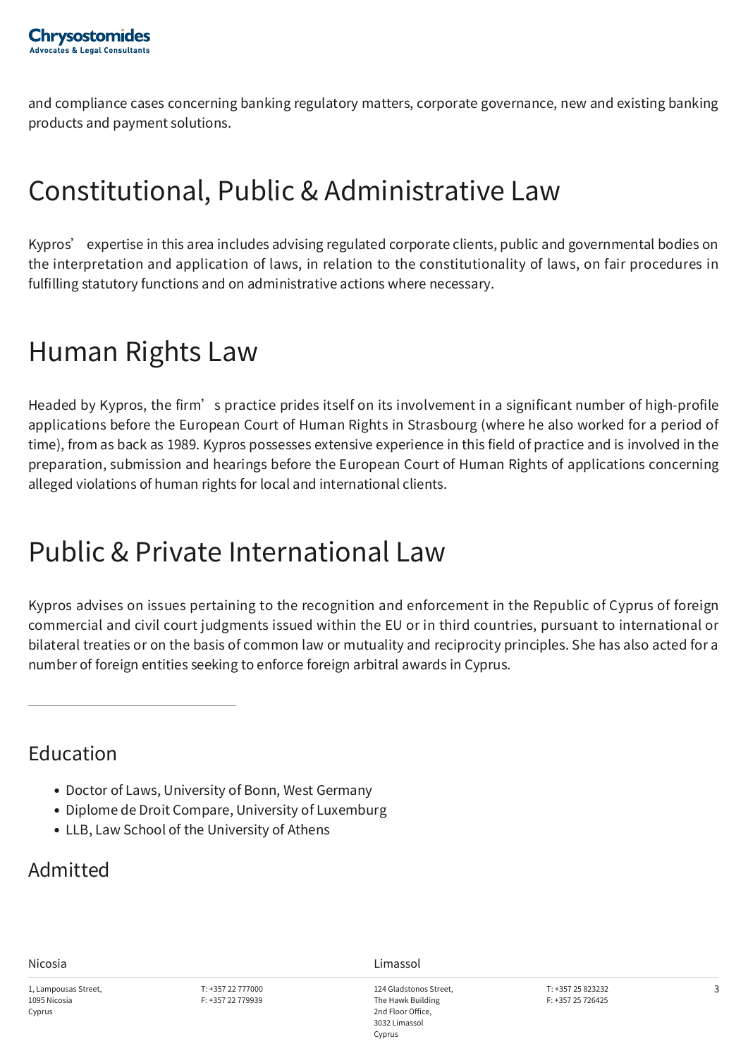and compliance cases concerning banking regulatory matters, corporate governance, new and existing banking products and payment solutions.

## Constitutional, Public & Administrative Law

Kypros' expertise in this area includes advising regulated corporate clients, public and governmental bodies on the interpretation and application of laws, in relation to the constitutionality of laws, on fair procedures in fulfilling statutory functions and on administrative actions where necessary.

### Human Rights Law

Headed by Kypros, the firm's practice prides itself on its involvement in a significant number of high-profile applications before the European Court of Human Rights in Strasbourg (where he also worked for a period of time), from as back as 1989. Kypros possesses extensive experience in this field of practice and is involved in the preparation, submission and hearings before the European Court of Human Rights of applications concerning alleged violations of human rights for local and international clients.

## Public & Private International Law

Kypros advises on issues pertaining to the recognition and enforcement in the Republic of Cyprus of foreign commercial and civil court judgments issued within the EU or in third countries, pursuant to international or bilateral treaties or on the basis of common law or mutuality and reciprocity principles. She has also acted for a number of foreign entities seeking to enforce foreign arbitral awards in Cyprus.

#### Education

- Doctor of Laws, University of Bonn, West Germany
- Diplome de Droit Compare, University of Luxemburg
- LLB, Law School of the University of Athens

#### Admitted

1, Lampousas Street, 1095 Nicosia Cyprus

Nicosia **Limassol**